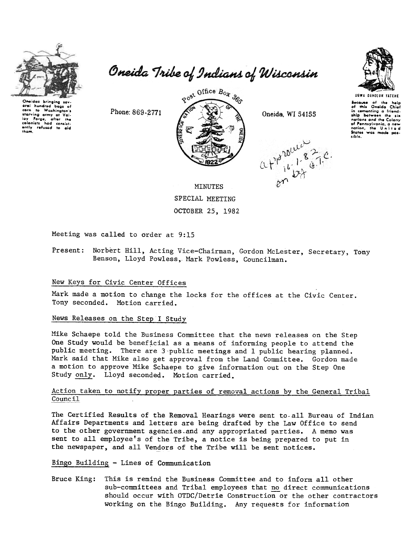

eral hundred bags of

Washington's

corn  $t_{\rm O}$ 

when to Washington's<br>starving army of Vali-<br>ioy Forge, ofter the<br>colonists had consist-<br>ently refused to aid<br>tham.

Oneida Tribe of Indians of Wisconsin



**UGWA DEHOLUN YATEHE** 

Secause of the help<br>of this Oneida Chief in comenting a friend-<br>ship between the six nations and the Colony of Pennsylvania, a new<br>nation, the United sible.

Phone: 869-2771



Oneida, WI 54155

 $(1)^{p^{\text{polyL}}(2,1)}$ 



Meeting was called to order at 9:15

Present: Norbert Hill, Acting Vice-Chairman, Gordon McLester, Secretary, Tony Benson, Lloyd Powless, Mark Powless, Councilman.

## New Keys for Civic Center Offices

Mark made a motion to change the locks for the offices at the Civic Center. Tony seconded. Motion carried.

# News Releases on the Step I Study

Mike Schaepe told the Business Committee that the news releases on the Step One Study would be beneficial as a means of informing people to attend the public meeting. There are 3-public meetings and 1 public hearing planned. Mark said that Mike also get approval from the Land Committee. Gordon made a motion to approve Mike Schaepe to give information out on the Step One Study only. Lloyd seconded. Motion carried.

## Action taken to notify proper parties of removal actions by the General Tribal Council

The Certified Results of the Removal Hearings were sent to all Bureau of Indian Affairs Departments and letters are being drafted by the Law Office to send to the other government agencies and any appropriated parties. A memo was sent to all employee's of the Tribe, a notice is being prepared to put in the newspaper, and all Vendors of the Tribe will be sent notices.

Bingo Building - Lines of Communication

Bruce King: This is remind the Business Committee and to inform all other sub-committees and Tribal employees that no direct communications should occur with OTDC/Detrie Construction or the other contractors working on the Bingo Building. Any requests for information